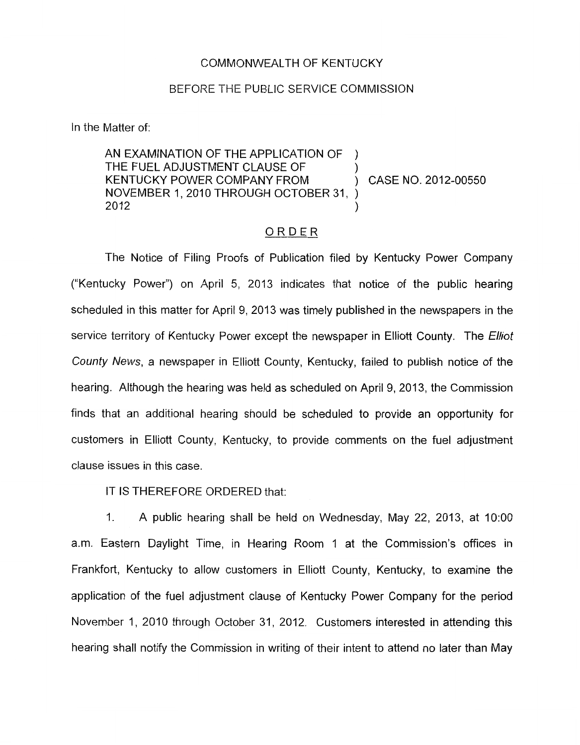## COMMONWEALTH OF KENTUCKY

## BEFORE THE PUBLIC SERVICE COMMISSION

In the Matter of:

AN EXAMINATION OF THE APPLICATION OF THE FUEL ADJUSTMENT CLAUSE OF KENTUCKY POWER COMPANY FROM  $\bigcup_{x}$  CASE NO. 2012-00550 NOVEMBER 1, 2010 THROUGH OCTOBER 31, )  $\sum_{i=1}^{n}$  $\mathcal{L}$  $2012$  )

## ORDER

The Notice of Filing Proofs of Publication filed by Kentucky Power Company ("Kentucky Power") on April 5, 2013 indicates that notice of the public hearing scheduled in this matter for April 9, 2013 was timely published in the newspapers in the service territory of Kentucky Power except the newspaper in Elliott County. The *Elliot County News,* a newspaper in Elliott County, Kentucky, failed to publish notice of the hearing. Although the hearing was held as scheduled on April 9, 2013, the Commission finds that an additional hearing should be scheduled to provide an opportunity for customers in Elliott County, Kentucky, to provide comments on the fuel adjustment clause issues in this case.

IT IS THEREFORE ORDERED that:

1. A public hearing shall be held on Wednesday, May 22, 2013, at 1O:OO a.m. Eastern Daylight Time, in Hearing Room 1 at the Commission's offices in Frankfort, Kentucky to allow customers in Elliott County, Kentucky, to examine the application of the fuel adjustment clause of Kentucky Power Company for the period November 1, 2010 through October 31, 2012. Customers interested in attending this hearing shall notify the Commission in writing of their intent to attend no later than May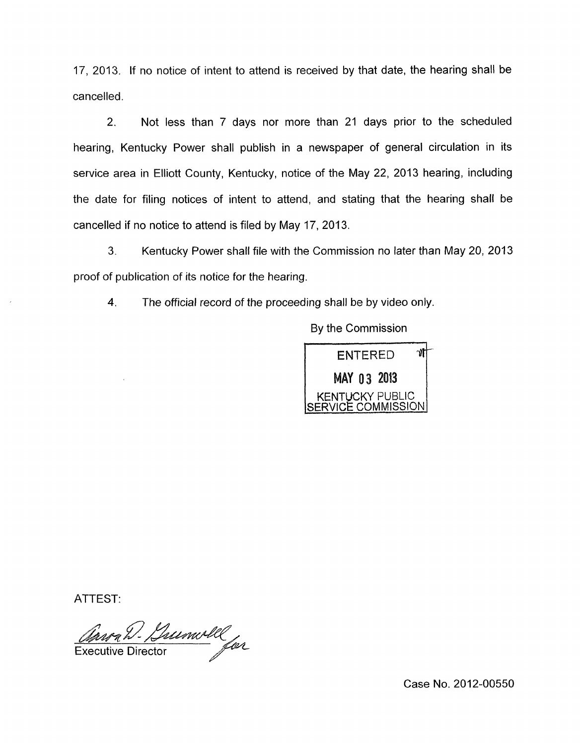17, 2013. If no notice of intent to attend is received by that date, the hearing shall be cancelled.

2. Not less than 7 days nor more than 21 days prior to the scheduled hearing, Kentucky Power shall publish in a newspaper of general circulation in its service area in Elliott County, Kentucky, notice of the May 22, 2013 hearing, including the date for filing notices of intent to attend, and stating that the hearing shall be cancelled if no notice to attend is filed by May 17, 2013.

**3.** Kentucky Power shall file with the Commission no later than May 20, 2013 proof of publication of its notice for the hearing.

**4.** The official record of the proceeding shall be by video only.

By the Commission



ATTEST:

Man D. Lumoll **Executive Director** 

Case No. 2012-00550